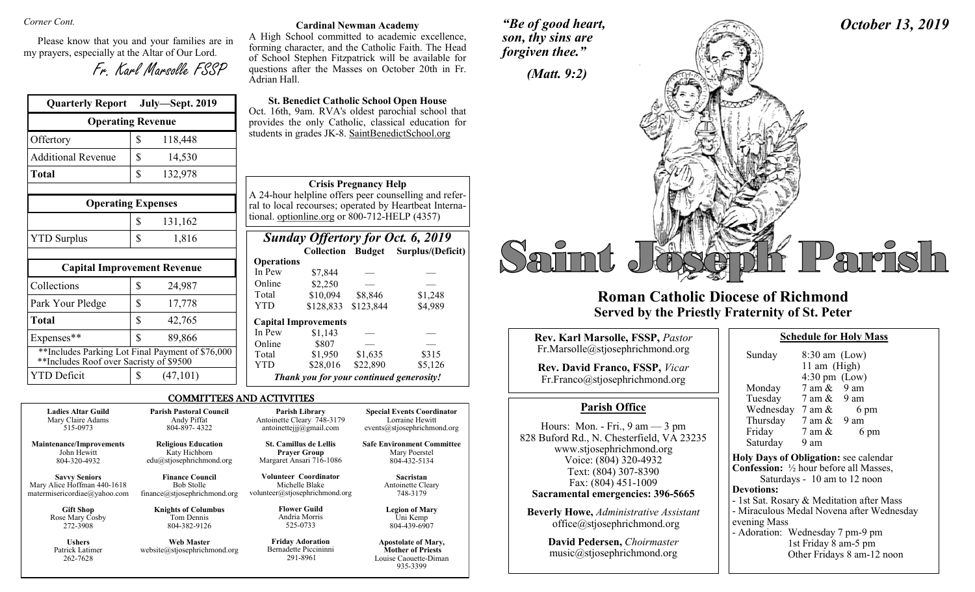*Corner Cont.* 

Please know that you and your families are in my prayers, especially at the Altar of Our Lord. Fr. Karl Marsolle FSSP

| <b>Quarterly Report</b>   |    | <b>July-Sept. 2019</b> |  |
|---------------------------|----|------------------------|--|
| <b>Operating Revenue</b>  |    |                        |  |
| Offertory                 | \$ | 118,448                |  |
| <b>Additional Revenue</b> | S  | 14,530                 |  |
| <b>Total</b>              | \$ | 132,978                |  |
|                           |    |                        |  |
| <b>Operating Expenses</b> |    |                        |  |
|                           | S  | 131,162                |  |
| <b>YTD</b> Surplus        | S  | 1,816                  |  |
|                           |    |                        |  |

| <b>Capital Improvement Revenue</b>                                                          |   |           |
|---------------------------------------------------------------------------------------------|---|-----------|
| Collections                                                                                 | S | 24,987    |
| Park Your Pledge                                                                            |   | 17,778    |
| <b>Total</b>                                                                                | S | 42,765    |
| Expenses**                                                                                  | Я | 89,866    |
| **Includes Parking Lot Final Payment of \$76,000<br>**Includes Roof over Sacristy of \$9500 |   |           |
| <b>YTD Deficit</b>                                                                          |   | (47, 101) |

262-7628

# **Cardinal Newman Academy**

A High School committed to academic excellence, forming character, and the Catholic Faith. The Head of School Stephen Fitzpatrick will be available for questions after the Masses on October 20th in Fr. Adrian Hall.

# **St. Benedict Catholic School Open House**

Oct. 16th, 9am. RVA's oldest parochial school that provides the only Catholic, classical education for students in grades JK-8. SaintBenedictSchool.org

# **Crisis Pregnancy Help**

A 24-hour helpline offers peer counselling and referral to local recourses; operated by Heartbeat International. optionline.org or 800-712-HELP (4357)

# *Sunday Offertory for Oct. 6, 2019*   **Collection Budget Surplus/(Deficit)**

|                   | сопссион                                 | nuugti    | эш ризд рен |
|-------------------|------------------------------------------|-----------|-------------|
| <b>Operations</b> |                                          |           |             |
| In Pew            | \$7,844                                  |           |             |
| Online            | \$2,250                                  |           |             |
| Total             | \$10,094                                 | \$8,846   | \$1,248     |
| YTD               | \$128,833                                | \$123,844 | \$4,989     |
|                   | <b>Capital Improvements</b>              |           |             |
| In Pew            | \$1,143                                  |           |             |
| Online            | \$807                                    |           |             |
| Total             | \$1,950                                  | \$1,635   | \$315       |
| YTD               | \$28,016                                 | \$22,890  | \$5,126     |
|                   | Thank you for your continued generosity! |           |             |

> Mary Poerstel 804-432-5134 **Sacristan** Antoinette Cleary 748-3179 **Legion of Mary** Uni Kemp 804-439-6907 **Apostolate of Mary, Mother of Priests** Louise Caouette-Diman 935-3399

# COMMITTEES AND ACTIVITIES

291-8961

| <b>Ladies Altar Guild</b>       | <b>Parish Pastoral Council</b> | Parish Library                 | <b>Special Events Coordinator</b> |
|---------------------------------|--------------------------------|--------------------------------|-----------------------------------|
| Mary Claire Adams               | Andy Piffat                    | Antoinette Cleary 748-3179     | Lorraine Hewitt                   |
| 515-0973                        | 804-897-4322                   | antoinetteijj@gmail.com        | events@stjosephrichmond.org       |
| <b>Maintenance/Improvements</b> | <b>Religious Education</b>     | <b>St. Camillus de Lellis</b>  | <b>Safe Environment Committee</b> |
| John Hewitt                     | Katy Hichborn                  | <b>Praver Group</b>            | Mary Poerstel                     |
| 804-320-4932                    | edu@stjosephrichmond.org       | Margaret Ansari 716-1086       | 804-432-5134                      |
| <b>Savvy Seniors</b>            | <b>Finance Council</b>         | Volunteer Coordinator          | <b>Sacristan</b>                  |
| Mary Alice Hoffman 440-1618     | <b>Bob Stolle</b>              | Michelle Blake                 | Antoinette Cleary                 |
| matermisericordiae@yahoo.com    | finance@stjosephrichmond.org   | volunteer@stjosephrichmond.org | 748-3179                          |
| <b>Gift Shop</b>                | <b>Knights of Columbus</b>     | <b>Flower Guild</b>            | <b>Legion of Mary</b>             |
| Rose Mary Cosby                 | Tom Dennis                     | Andria Morris                  | Uni Kemp                          |
| 272-3908                        | 804-382-9126                   | 525-0733                       | 804-439-6907                      |
| <b>Ushers</b>                   | <b>Web Master</b>              | <b>Friday Adoration</b>        | <b>Apostolate of Mary,</b>        |
| Patrick Latimer                 | website@stjosephrichmond.org   | Bernadette Piccininni          | <b>Mother of Priests</b>          |

*"Be of good heart, son, thy sins are forgiven thee."*



# **Roman Catholic Diocese of Richmond Served by the Priestly Fraternity of St. Peter**

| <b>Rev. Karl Marsolle, FSSP, Pastor</b>                                                                                                                                                   | <b>Schedule for Holy Mass</b>                                                                                                     |  |  |
|-------------------------------------------------------------------------------------------------------------------------------------------------------------------------------------------|-----------------------------------------------------------------------------------------------------------------------------------|--|--|
| Fr.Marsolle@stjosephrichmond.org<br><b>Rev. David Franco, FSSP, Vicar</b><br>Fr.Franco@stjosephrichmond.org                                                                               | Sunday<br>$8:30$ am (Low)<br>11 am $(High)$<br>$4:30 \text{ pm}$ (Low)<br>$7 \text{ am } \& 9 \text{ am}$<br>Monday               |  |  |
| <b>Parish Office</b>                                                                                                                                                                      | Tuesday 7 am & 9 am<br>Wednesday $7 \text{ am } \&$<br>6 pm                                                                       |  |  |
| Hours: Mon. - Fri., $9 \text{ am} - 3 \text{ pm}$<br>828 Buford Rd., N. Chesterfield, VA 23235<br>www.stjosephrichmond.org                                                                | Thursday $7 \text{ am } \& 9 \text{ am}$<br>Friday<br>7 am &<br>6 pm<br>Saturday<br>9 am<br>Holy Days of Obligation: see calenda  |  |  |
| Voice: (804) 320-4932<br>Text: (804) 307-8390<br>Fax: (804) 451-1009<br>Sacramental emergencies: 396-5665<br><b>Beverly Howe, Administrative Assistant</b><br>office@stjosephrichmond.org | <b>Confession:</b> 1/2 hour before all Masses<br>Saturdays - 10 am to 12 noon<br><b>Devotions:</b>                                |  |  |
|                                                                                                                                                                                           | - 1st Sat. Rosary & Meditation after M<br>- Miraculous Medal Novena after Wed<br>evening Mass<br>- Adoration: Wednesday 7 pm-9 pm |  |  |

**David Pedersen,** *Choirmaster* music@stjosephrichmond.org

| Sunday                                                   | $8:30$ am $(Low)$       |      |  |
|----------------------------------------------------------|-------------------------|------|--|
|                                                          | 11 am (High)            |      |  |
|                                                          | $4:30 \text{ pm}$ (Low) |      |  |
| Monday                                                   | $7$ am $\&$ 9 am        |      |  |
| Tuesday 7 am & 9 am                                      |                         |      |  |
| Wednesday $7 \text{ am } \&$                             |                         | 6 pm |  |
| Thursday $7 \text{ am } \& 9 \text{ am}$                 |                         |      |  |
| Friday                                                   | 7 am &                  | 6 pm |  |
| Saturday                                                 | 9 am                    |      |  |
| Holy Days of Obligation: see calendar                    |                         |      |  |
| <b>Confession:</b> $\frac{1}{2}$ hour before all Masses, |                         |      |  |
| Saturdays - 10 am to 12 noon                             |                         |      |  |
| <b>Devotions:</b>                                        |                         |      |  |
| - 1st Sat. Rosary & Meditation after Mass                |                         |      |  |
| - Miraculous Medal Novena after Wednesday                |                         |      |  |
| evening Mass                                             |                         |      |  |
| - Adoration: Wednesday 7 pm-9 pm                         |                         |      |  |

*October 13, 2019*

1st Friday 8 am-5 pm Other Fridays 8 am-12 noon